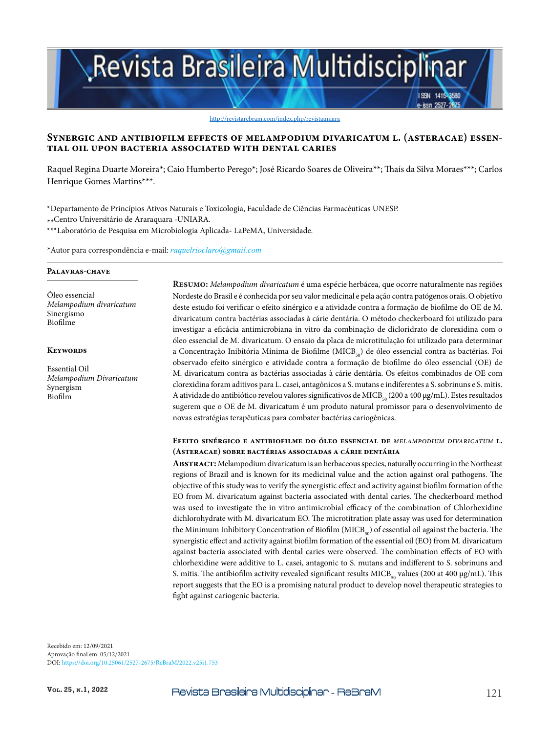# Revista Brasileira Multidisciplinar

http://revistarebram.com/index.php/revistauniara

# **Synergic and antibiofilm effects of melampodium divaricatum l. (asteracae) essen- tial oil upon bacteria associated with dental caries**

Raquel Regina Duarte Moreira\*; Caio Humberto Perego\*; José Ricardo Soares de Oliveira\*\*; Thaís da Silva Moraes\*\*\*; Carlos Henrique Gomes Martins\*\*\*.

\*Departamento de Princípios Ativos Naturais e Toxicologia, Faculdade de Ciências Farmacêuticas UNESP. \*\*Centro Universitário de Araraquara -UNIARA. \*\*\*Laboratório de Pesquisa em Microbiologia Aplicada- LaPeMA, Universidade.

\*Autor para correspondência e-mail: *raquelrioclaro@gmail.com*

#### **Palavras-chave**

Óleo essencial *Melampodium divaricatum* Sinergismo Biofilme

#### **Keywords**

Essential Oil *Melampodium Divaricatum* Synergism Biofilm

**Resumo:** *Melampodium divaricatum* é uma espécie herbácea, que ocorre naturalmente nas regiões Nordeste do Brasil e é conhecida por seu valor medicinal e pela ação contra patógenos orais. O objetivo deste estudo foi verificar o efeito sinérgico e a atividade contra a formação de biofilme do OE de M. divaricatum contra bactérias associadas à cárie dentária. O método checkerboard foi utilizado para investigar a eficácia antimicrobiana in vitro da combinação de dicloridrato de clorexidina com o óleo essencial de M. divaricatum. O ensaio da placa de microtitulação foi utilizado para determinar a Concentração Inibitória Mínima de Biofilme (MICB<sub>50</sub>) de óleo essencial contra as bactérias. Foi observado efeito sinérgico e atividade contra a formação de biofilme do óleo essencial (OE) de M. divaricatum contra as bactérias associadas à cárie dentária. Os efeitos combinados de OE com clorexidina foram aditivos para L. casei, antagônicos a S. mutans e indiferentes a S. sobrinuns e S. mitis. A atividade do antibiótico revelou valores significativos de MICB<sub>50</sub> (200 a 400 μg/mL). Estes resultados sugerem que o OE de M. divaricatum é um produto natural promissor para o desenvolvimento de novas estratégias terapêuticas para combater bactérias cariogênicas.

ISSN 1415-8580 -issn 2527-28

#### **Efeito sinérgico e antibiofilme do óleo essencial de** *melampodium divaricatum* **l. (Asteracae) sobre bactérias associadas a cárie dentária**

**Abstract:** Melampodium divaricatum is an herbaceous species, naturally occurring in the Northeast regions of Brazil and is known for its medicinal value and the action against oral pathogens. The objective of this study was to verify the synergistic effect and activity against biofilm formation of the EO from M. divaricatum against bacteria associated with dental caries. The checkerboard method was used to investigate the in vitro antimicrobial efficacy of the combination of Chlorhexidine dichlorohydrate with M. divaricatum EO. The microtitration plate assay was used for determination the Minimum Inhibitory Concentration of Biofilm ( $MICB<sub>50</sub>$ ) of essential oil against the bacteria. The synergistic effect and activity against biofilm formation of the essential oil (EO) from M. divaricatum against bacteria associated with dental caries were observed. The combination effects of EO with chlorhexidine were additive to L. casei, antagonic to S. mutans and indifferent to S. sobrinuns and S. mitis. The antibiofilm activity revealed significant results MICB<sub>50</sub> values (200 at 400  $\mu$ g/mL). This report suggests that the EO is a promising natural product to develop novel therapeutic strategies to fight against cariogenic bacteria.

Recebido em: 12/09/2021 Aprovação final em: 05/12/2021 DOI: https://doi.org/10.25061/2527-2675/ReBraM/2022.v25i1.753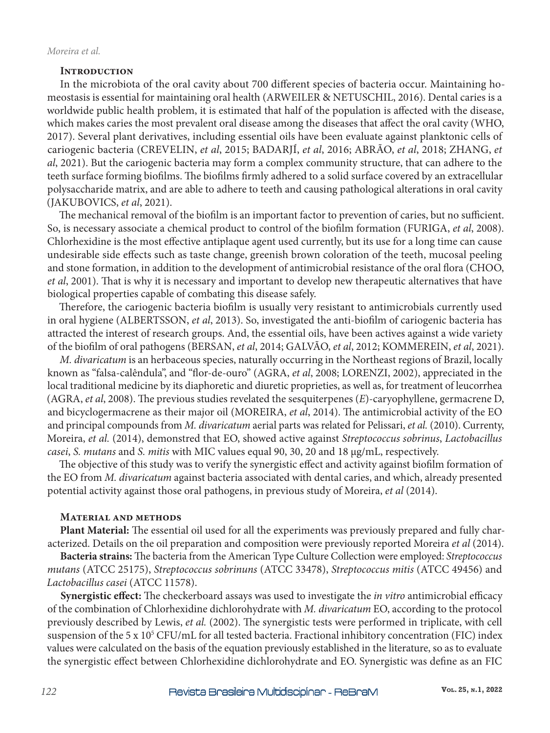#### **Introduction**

In the microbiota of the oral cavity about 700 different species of bacteria occur. Maintaining homeostasis is essential for maintaining oral health (ARWEILER & NETUSCHIL, 2016). Dental caries is a worldwide public health problem, it is estimated that half of the population is affected with the disease, which makes caries the most prevalent oral disease among the diseases that affect the oral cavity (WHO, 2017). Several plant derivatives, including essential oils have been evaluate against planktonic cells of cariogenic bacteria (CREVELIN, *et al*, 2015; BADARJÍ, *et al*, 2016; ABRÃO, *et al*, 2018; ZHANG, *et al*, 2021). But the cariogenic bacteria may form a complex community structure, that can adhere to the teeth surface forming biofilms. The biofilms firmly adhered to a solid surface covered by an extracellular polysaccharide matrix, and are able to adhere to teeth and causing pathological alterations in oral cavity (JAKUBOVICS, *et al*, 2021).

The mechanical removal of the biofilm is an important factor to prevention of caries, but no sufficient. So, is necessary associate a chemical product to control of the biofilm formation (FURIGA, *et al*, 2008). Chlorhexidine is the most effective antiplaque agent used currently, but its use for a long time can cause undesirable side effects such as taste change, greenish brown coloration of the teeth, mucosal peeling and stone formation, in addition to the development of antimicrobial resistance of the oral flora (CHOO, *et al*, 2001). That is why it is necessary and important to develop new therapeutic alternatives that have biological properties capable of combating this disease safely.

Therefore, the cariogenic bacteria biofilm is usually very resistant to antimicrobials currently used in oral hygiene (ALBERTSSON, *et al*, 2013). So, investigated the anti-biofilm of cariogenic bacteria has attracted the interest of research groups. And, the essential oils, have been actives against a wide variety of the biofilm of oral pathogens (BERSAN, *et al*, 2014; GALVÃO, *et al*, 2012; KOMMEREIN, *et al*, 2021).

*M. divaricatum* is an herbaceous species, naturally occurring in the Northeast regions of Brazil, locally known as "falsa-calêndula", and "flor-de-ouro" (AGRA, *et al*, 2008; LORENZI, 2002), appreciated in the local traditional medicine by its diaphoretic and diuretic proprieties, as well as, for treatment of leucorrhea (AGRA, *et al*, 2008). The previous studies revelated the sesquiterpenes (*E*)-caryophyllene, germacrene D, and bicyclogermacrene as their major oil (MOREIRA, *et al*, 2014). The antimicrobial activity of the EO and principal compounds from *M. divaricatum* aerial parts was related for Pelissari, *et al.* (2010). Currenty, Moreira, *et al.* (2014), demonstred that EO, showed active against *Streptococcus sobrinus*, *Lactobacillus casei*, *S. mutans* and *S. mitis* with MIC values equal 90, 30, 20 and 18 μg/mL, respectively.

The objective of this study was to verify the synergistic effect and activity against biofilm formation of the EO from *M. divaricatum* against bacteria associated with dental caries, and which, already presented potential activity against those oral pathogens, in previous study of Moreira, *et al* (2014).

#### **Material and methods**

**Plant Material:** The essential oil used for all the experiments was previously prepared and fully characterized. Details on the oil preparation and composition were previously reported Moreira *et al* (2014).

**Bacteria strains:** The bacteria from the American Type Culture Collection were employed: *Streptococcus mutans* (ATCC 25175), *Streptococcus sobrinuns* (ATCC 33478), *Streptococcus mitis* (ATCC 49456) and *Lactobacillus casei* (ATCC 11578).

**Synergistic effect:** The checkerboard assays was used to investigate the *in vitro* antimicrobial efficacy of the combination of Chlorhexidine dichlorohydrate with *M. divaricatum* EO, according to the protocol previously described by Lewis, *et al.* (2002). The synergistic tests were performed in triplicate, with cell suspension of the 5 x 10<sup>5</sup> CFU/mL for all tested bacteria. Fractional inhibitory concentration (FIC) index values were calculated on the basis of the equation previously established in the literature, so as to evaluate the synergistic effect between Chlorhexidine dichlorohydrate and EO. Synergistic was define as an FIC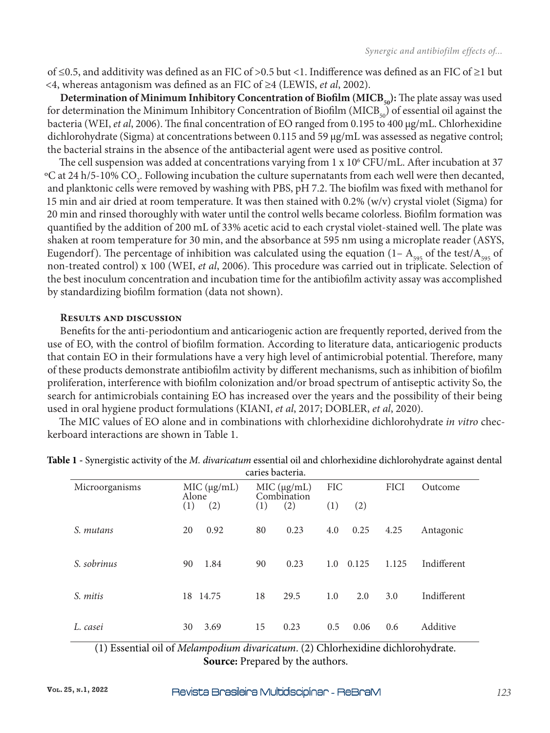of ≤0.5, and additivity was defined as an FIC of >0.5 but <1. Indifference was defined as an FIC of ≥1 but <4, whereas antagonism was defined as an FIC of ≥4 (LEWIS, *et al*, 2002).

**Determination of Minimum Inhibitory Concentration of Biofilm (MICB<sub>50</sub>):** The plate assay was used for determination the Minimum Inhibitory Concentration of Biofilm ( $MICB<sub>50</sub>$ ) of essential oil against the bacteria (WEI, *et al*, 2006). The final concentration of EO ranged from 0.195 to 400 µg/mL. Chlorhexidine dichlorohydrate (Sigma) at concentrations between 0.115 and 59 µg/mL was assessed as negative control; the bacterial strains in the absence of the antibacterial agent were used as positive control.

The cell suspension was added at concentrations varying from  $1 \times 10^6$  CFU/mL. After incubation at 37 °C at 24 h/5-10% CO<sub>2</sub>. Following incubation the culture supernatants from each well were then decanted, and planktonic cells were removed by washing with PBS, pH 7.2. The biofilm was fixed with methanol for 15 min and air dried at room temperature. It was then stained with 0.2% (w/v) crystal violet (Sigma) for 20 min and rinsed thoroughly with water until the control wells became colorless. Biofilm formation was quantified by the addition of 200 mL of 33% acetic acid to each crystal violet-stained well. The plate was shaken at room temperature for 30 min, and the absorbance at 595 nm using a microplate reader (ASYS, Eugendorf). The percentage of inhibition was calculated using the equation (1–  $A_{595}$  of the test/ $A_{595}$  of non-treated control) x 100 (WEI, *et al*, 2006). This procedure was carried out in triplicate. Selection of the best inoculum concentration and incubation time for the antibiofilm activity assay was accomplished by standardizing biofilm formation (data not shown).

#### **Results and discussion**

Benefits for the anti-periodontium and anticariogenic action are frequently reported, derived from the use of EO, with the control of biofilm formation. According to literature data, anticariogenic products that contain EO in their formulations have a very high level of antimicrobial potential. Therefore, many of these products demonstrate antibiofilm activity by different mechanisms, such as inhibition of biofilm proliferation, interference with biofilm colonization and/or broad spectrum of antiseptic activity So, the search for antimicrobials containing EO has increased over the years and the possibility of their being used in oral hygiene product formulations (KIANI, *et al*, 2017; DOBLER, *et al*, 2020).

The MIC values of EO alone and in combinations with chlorhexidine dichlorohydrate *in vitro* checkerboard interactions are shown in Table 1.

|                |                      | caries bacteria.          |              |             |             |
|----------------|----------------------|---------------------------|--------------|-------------|-------------|
| Microorganisms | MIC (µg/mL)<br>Alone | MIC(qg/mL)<br>Combination | <b>FIC</b>   | <b>FICI</b> | Outcome     |
|                | (1)<br>(2)           | (2)<br>(1)                | (1)<br>(2)   |             |             |
| S. mutans      | 0.92<br>20           | 80<br>0.23                | 0.25<br>4.0  | 4.25        | Antagonic   |
| S. sobrinus    | 1.84<br>90           | 0.23<br>90                | 0.125<br>1.0 | 1.125       | Indifferent |
| S. mitis       | 18 14.75             | 18<br>29.5                | 1.0<br>2.0   | 3.0         | Indifferent |
| L. casei       | 3.69<br>30           | 15<br>0.23                | 0.5<br>0.06  | 0.6         | Additive    |

**Table 1 -** Synergistic activity of the *M. divaricatum* essential oil and chlorhexidine dichlorohydrate against dental

(1) Essential oil of *Melampodium divaricatum*. (2) Chlorhexidine dichlorohydrate. **Source:** Prepared by the authors.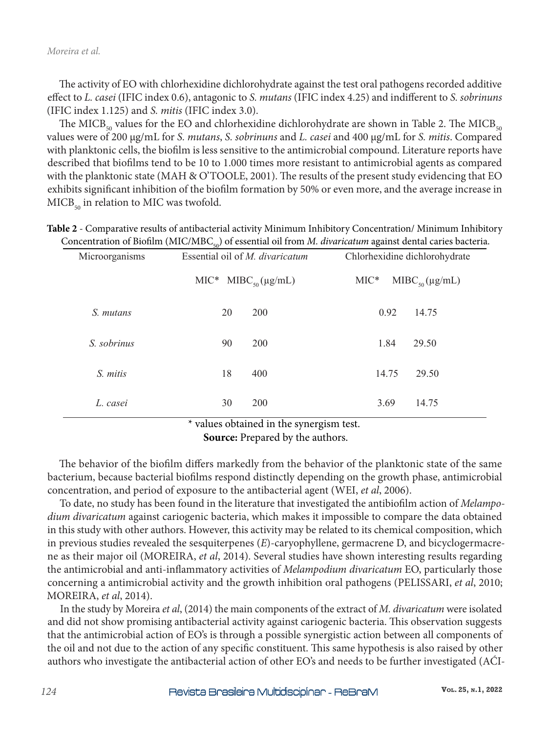The activity of EO with chlorhexidine dichlorohydrate against the test oral pathogens recorded additive effect to *L. casei* (IFIC index 0.6), antagonic to *S. mutans* (IFIC index 4.25) and indifferent to *S. sobrinuns*  (IFIC index 1.125) and *S. mitis* (IFIC index 3.0).

The MICB<sub>50</sub> values for the EO and chlorhexidine dichlorohydrate are shown in Table 2. The MICB<sub>50</sub> values were of 200 µg/mL for *S. mutans*, *S. sobrinuns* and *L. casei* and 400 µg/mL for *S. mitis*. Compared with planktonic cells, the biofilm is less sensitive to the antimicrobial compound. Literature reports have described that biofilms tend to be 10 to 1.000 times more resistant to antimicrobial agents as compared with the planktonic state (MAH & O'TOOLE, 2001). The results of the present study evidencing that EO exhibits significant inhibition of the biofilm formation by 50% or even more, and the average increase in  $MICB<sub>50</sub>$  in relation to MIC was twofold.

| Microorganisms | Essential oil of <i>M. divaricatum</i> | Chlorhexidine dichlorohydrate<br>$MIC^*$ MIBC <sub>50</sub> ( $\mu$ g/mL) |  |  |
|----------------|----------------------------------------|---------------------------------------------------------------------------|--|--|
|                | MIC* $MIBC_{s0}(\mu g/mL)$             |                                                                           |  |  |
| S. mutans      | 200<br>20                              | 0.92<br>14.75                                                             |  |  |

*S. sobrinus* 90 200 1.84 29.50

*S. mitis* 18 400 14.75 29.50

*L. casei* 30 200 3.69 14.75

**Table 2** - Comparative results of antibacterial activity Minimum Inhibitory Concentration/ Minimum Inhibitory

\* values obtained in the synergism test.

**Source:** Prepared by the authors.

The behavior of the biofilm differs markedly from the behavior of the planktonic state of the same bacterium, because bacterial biofilms respond distinctly depending on the growth phase, antimicrobial concentration, and period of exposure to the antibacterial agent (WEI, *et al*, 2006).

To date, no study has been found in the literature that investigated the antibiofilm action of *Melampodium divaricatum* against cariogenic bacteria, which makes it impossible to compare the data obtained in this study with other authors. However, this activity may be related to its chemical composition, which in previous studies revealed the sesquiterpenes (*E*)-caryophyllene, germacrene D, and bicyclogermacrene as their major oil (MOREIRA, *et al*, 2014). Several studies have shown interesting results regarding the antimicrobial and anti-inflammatory activities of *Melampodium divaricatum* EO, particularly those concerning a antimicrobial activity and the growth inhibition oral pathogens (PELISSARI, *et al*, 2010; MOREIRA, *et al*, 2014).

In the study by Moreira *et al*, (2014) the main components of the extract of *M. divaricatum* were isolated and did not show promising antibacterial activity against cariogenic bacteria. This observation suggests that the antimicrobial action of EO's is through a possible synergistic action between all components of the oil and not due to the action of any specific constituent. This same hypothesis is also raised by other authors who investigate the antibacterial action of other EO's and needs to be further investigated (AĆI-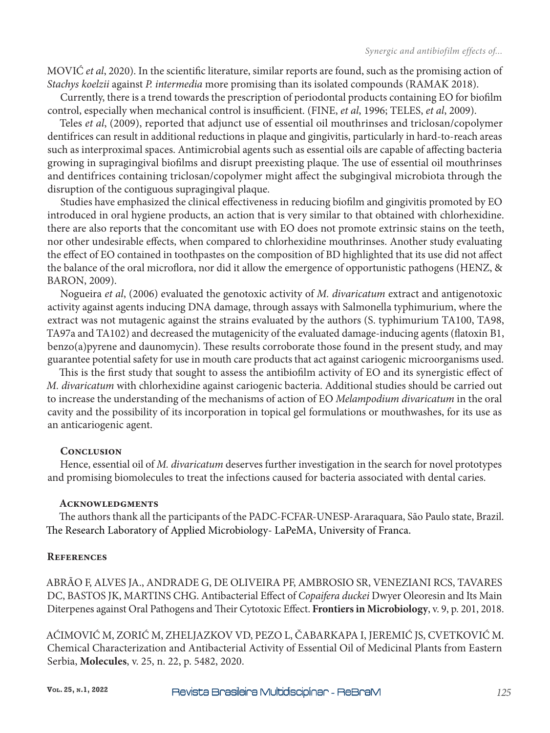MOVIĆ *et al*, 2020). In the scientific literature, similar reports are found, such as the promising action of *Stachys koelzii* against *P. intermedia* more promising than its isolated compounds (RAMAK 2018).

Currently, there is a trend towards the prescription of periodontal products containing EO for biofilm control, especially when mechanical control is insufficient. (FINE, *et al*, 1996; TELES, *et al*, 2009).

Teles *et al*, (2009), reported that adjunct use of essential oil mouthrinses and triclosan/copolymer dentifrices can result in additional reductions in plaque and gingivitis, particularly in hard-to-reach areas such as interproximal spaces. Antimicrobial agents such as essential oils are capable of affecting bacteria growing in supragingival biofilms and disrupt preexisting plaque. The use of essential oil mouthrinses and dentifrices containing triclosan/copolymer might affect the subgingival microbiota through the disruption of the contiguous supragingival plaque.

Studies have emphasized the clinical effectiveness in reducing biofilm and gingivitis promoted by EO introduced in oral hygiene products, an action that is very similar to that obtained with chlorhexidine. there are also reports that the concomitant use with EO does not promote extrinsic stains on the teeth, nor other undesirable effects, when compared to chlorhexidine mouthrinses. Another study evaluating the effect of EO contained in toothpastes on the composition of BD highlighted that its use did not affect the balance of the oral microflora, nor did it allow the emergence of opportunistic pathogens (HENZ, & BARON, 2009).

Nogueira *et al*, (2006) evaluated the genotoxic activity of *M. divaricatum* extract and antigenotoxic activity against agents inducing DNA damage, through assays with Salmonella typhimurium, where the extract was not mutagenic against the strains evaluated by the authors (S. typhimurium TA100, TA98, TA97a and TA102) and decreased the mutagenicity of the evaluated damage-inducing agents (flatoxin B1, benzo(a)pyrene and daunomycin). These results corroborate those found in the present study, and may guarantee potential safety for use in mouth care products that act against cariogenic microorganisms used.

This is the first study that sought to assess the antibiofilm activity of EO and its synergistic effect of *M. divaricatum* with chlorhexidine against cariogenic bacteria. Additional studies should be carried out to increase the understanding of the mechanisms of action of EO *Melampodium divaricatum* in the oral cavity and the possibility of its incorporation in topical gel formulations or mouthwashes, for its use as an anticariogenic agent.

# **Conclusion**

Hence, essential oil of *M. divaricatum* deserves further investigation in the search for novel prototypes and promising biomolecules to treat the infections caused for bacteria associated with dental caries.

# **Acknowledgments**

The authors thank all the participants of the PADC-FCFAR-UNESP-Araraquara, São Paulo state, Brazil. The Research Laboratory of Applied Microbiology- LaPeMA, University of Franca.

# **References**

ABRÃO F, ALVES JA., ANDRADE G, DE OLIVEIRA PF, AMBROSIO SR, VENEZIANI RCS, TAVARES DC, BASTOS JK, MARTINS CHG. Antibacterial Effect of *Copaifera duckei* Dwyer Oleoresin and Its Main Diterpenes against Oral Pathogens and Their Cytotoxic Effect. **Frontiers in Microbiology**, v. 9, p. 201, 2018.

AĆIMOVIĆ M, ZORIĆ M, ZHELJAZKOV VD, PEZO L, ČABARKAPA I, JEREMIĆ JS, CVETKOVIĆ M. Chemical Characterization and Antibacterial Activity of Essential Oil of Medicinal Plants from Eastern Serbia, **Molecules**, v. 25, n. 22, p. 5482, 2020.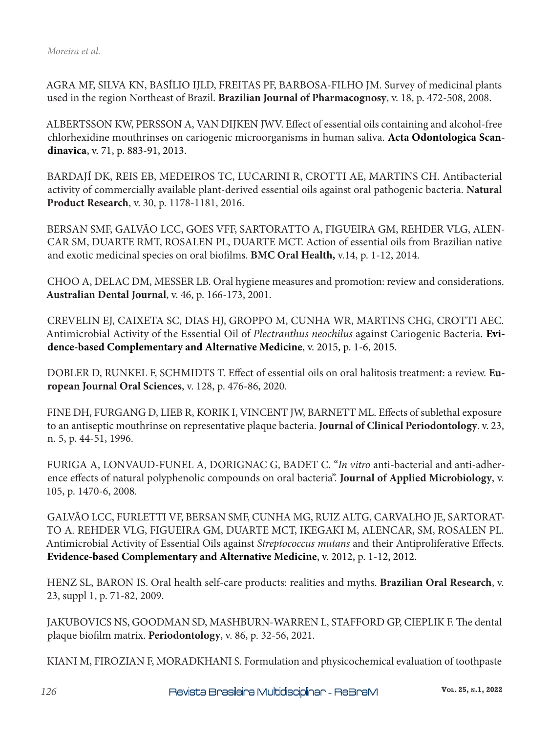AGRA MF, SILVA KN, BASÍLIO IJLD, FREITAS PF, BARBOSA-FILHO JM. Survey of medicinal plants used in the region Northeast of Brazil. **Brazilian Journal of Pharmacognosy**, v. 18, p. 472-508, 2008.

ALBERTSSON KW, PERSSON A, VAN DIJKEN JWV. Effect of essential oils containing and alcohol-free chlorhexidine mouthrinses on cariogenic microorganisms in human saliva. **Acta Odontologica Scandinavica**, v. 71, p. 883-91, 2013.

BARDAJÍ DK, REIS EB, MEDEIROS TC, LUCARINI R, CROTTI AE, MARTINS CH. Antibacterial activity of commercially available plant-derived essential oils against oral pathogenic bacteria. **Natural Product Research**, v. 30, p. 1178-1181, 2016.

BERSAN SMF, GALVÃO LCC, GOES VFF, SARTORATTO A, FIGUEIRA GM, REHDER VLG, ALEN-CAR SM, DUARTE RMT, ROSALEN PL, DUARTE MCT. Action of essential oils from Brazilian native and exotic medicinal species on oral biofilms. **BMC Oral Health,** v.14, p. 1-12, 2014.

CHOO A, DELAC DM, MESSER LB. Oral hygiene measures and promotion: review and considerations. **Australian Dental Journal**, v. 46, p. 166-173, 2001.

CREVELIN EJ, CAIXETA SC, DIAS HJ, GROPPO M, CUNHA WR, MARTINS CHG, CROTTI AEC. Antimicrobial Activity of the Essential Oil of *Plectranthus neochilus* against Cariogenic Bacteria*.* **Evidence-based Complementary and Alternative Medicine**, v. 2015, p. 1-6, 2015.

DOBLER D, RUNKEL F, SCHMIDTS T. Effect of essential oils on oral halitosis treatment: a review. **European Journal Oral Sciences**, v. 128, p. 476-86, 2020.

FINE DH, FURGANG D, LIEB R, KORIK I, VINCENT JW, BARNETT ML. Effects of sublethal exposure to an antiseptic mouthrinse on representative plaque bacteria. **Journal of Clinical Periodontology**. v. 23, n. 5, p. 44-51, 1996.

FURIGA A, LONVAUD-FUNEL A, DORIGNAC G, BADET C. "*In vitro* anti-bacterial and anti-adherence effects of natural polyphenolic compounds on oral bacteria". **Journal of Applied Microbiology**, v. 105, p. 1470-6, 2008.

GALVÃO LCC, FURLETTI VF, BERSAN SMF, CUNHA MG, RUIZ ALTG, CARVALHO JE, SARTORAT-TO A. REHDER VLG, FIGUEIRA GM, DUARTE MCT, IKEGAKI M, ALENCAR, SM, ROSALEN PL. Antimicrobial Activity of Essential Oils against *Streptococcus mutans* and their Antiproliferative Effects. **Evidence-based Complementary and Alternative Medicine**, v. 2012, p. 1-12, 2012.

HENZ SL, BARON IS. Oral health self-care products: realities and myths. **Brazilian Oral Research**, v. 23, suppl 1, p. 71-82, 2009.

JAKUBOVICS NS, GOODMAN SD, MASHBURN-WARREN L, STAFFORD GP, CIEPLIK F. The dental plaque biofilm matrix. **Periodontology**, v. 86, p. 32-56, 2021.

KIANI M, FIROZIAN F, MORADKHANI S. Formulation and physicochemical evaluation of toothpaste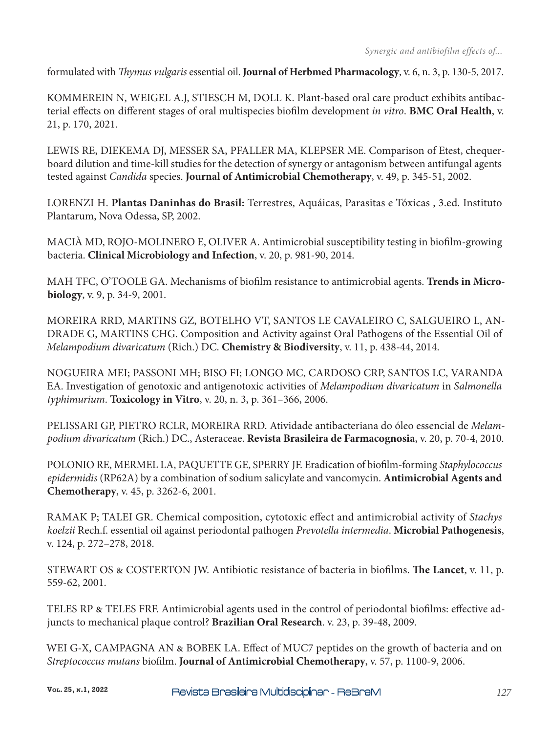formulated with *Thymus vulgaris* essential oil. **Journal of Herbmed Pharmacology**, v. 6, n. 3, p. 130-5, 2017.

KOMMEREIN N, WEIGEL A.J, STIESCH M, DOLL K. Plant-based oral care product exhibits antibacterial effects on different stages of oral multispecies biofilm development *in vitro*. **BMC Oral Health**, v. 21, p. 170, 2021.

LEWIS RE, DIEKEMA DJ, MESSER SA, PFALLER MA, KLEPSER ME. Comparison of Etest, chequerboard dilution and time-kill studies for the detection of synergy or antagonism between antifungal agents tested against *Candida* species. **Journal of Antimicrobial Chemotherapy**, v. 49, p. 345-51, 2002.

LORENZI H. **Plantas Daninhas do Brasil:** Terrestres, Aquáicas, Parasitas e Tóxicas , 3.ed. Instituto Plantarum, Nova Odessa, SP, 2002.

MACIÀ MD, ROJO-MOLINERO E, OLIVER A. Antimicrobial susceptibility testing in biofilm-growing bacteria. **Clinical Microbiology and Infection**, v. 20, p. 981-90, 2014.

MAH TFC, O'TOOLE GA. Mechanisms of biofilm resistance to antimicrobial agents. **Trends in Microbiology**, v. 9, p. 34-9, 2001.

MOREIRA RRD, MARTINS GZ, BOTELHO VT, SANTOS LE CAVALEIRO C, SALGUEIRO L, AN-DRADE G, MARTINS CHG. Composition and Activity against Oral Pathogens of the Essential Oil of *Melampodium divaricatum* (Rich.) DC. **Chemistry & Biodiversity**, v. 11, p. 438-44, 2014.

NOGUEIRA MEI; PASSONI MH; BISO FI; LONGO MC, CARDOSO CRP, SANTOS LC, VARANDA EA. Investigation of genotoxic and antigenotoxic activities of *Melampodium divaricatum* in *Salmonella typhimurium*. **Toxicology in Vitro**, v. 20, n. 3, p. 361–366, 2006.

PELISSARI GP, PIETRO RCLR, MOREIRA RRD. Atividade antibacteriana do óleo essencial de *Melampodium divaricatum* (Rich.) DC., Asteraceae. **Revista Brasileira de Farmacognosia**, v. 20, p. 70-4, 2010.

POLONIO RE, MERMEL LA, PAQUETTE GE, SPERRY JF. Eradication of biofilm-forming *Staphylococcus epidermidis* (RP62A) by a combination of sodium salicylate and vancomycin. **Antimicrobial Agents and Chemotherapy**, v. 45, p. 3262-6, 2001.

RAMAK P; TALEI GR. Chemical composition, cytotoxic effect and antimicrobial activity of *Stachys koelzii* Rech.f. essential oil against periodontal pathogen *Prevotella intermedia*. **Microbial Pathogenesis**, v. 124, p. 272–278, 2018.

STEWART OS & COSTERTON JW. Antibiotic resistance of bacteria in biofilms. **The Lancet**, v. 11, p. 559-62, 2001.

TELES RP & TELES FRF. Antimicrobial agents used in the control of periodontal biofilms: effective adjuncts to mechanical plaque control? **Brazilian Oral Research**. v. 23, p. 39-48, 2009.

WEI G-X, CAMPAGNA AN & BOBEK LA. Effect of MUC7 peptides on the growth of bacteria and on *Streptococcus mutans* biofilm. **Journal of Antimicrobial Chemotherapy**, v. 57, p. 1100-9, 2006.